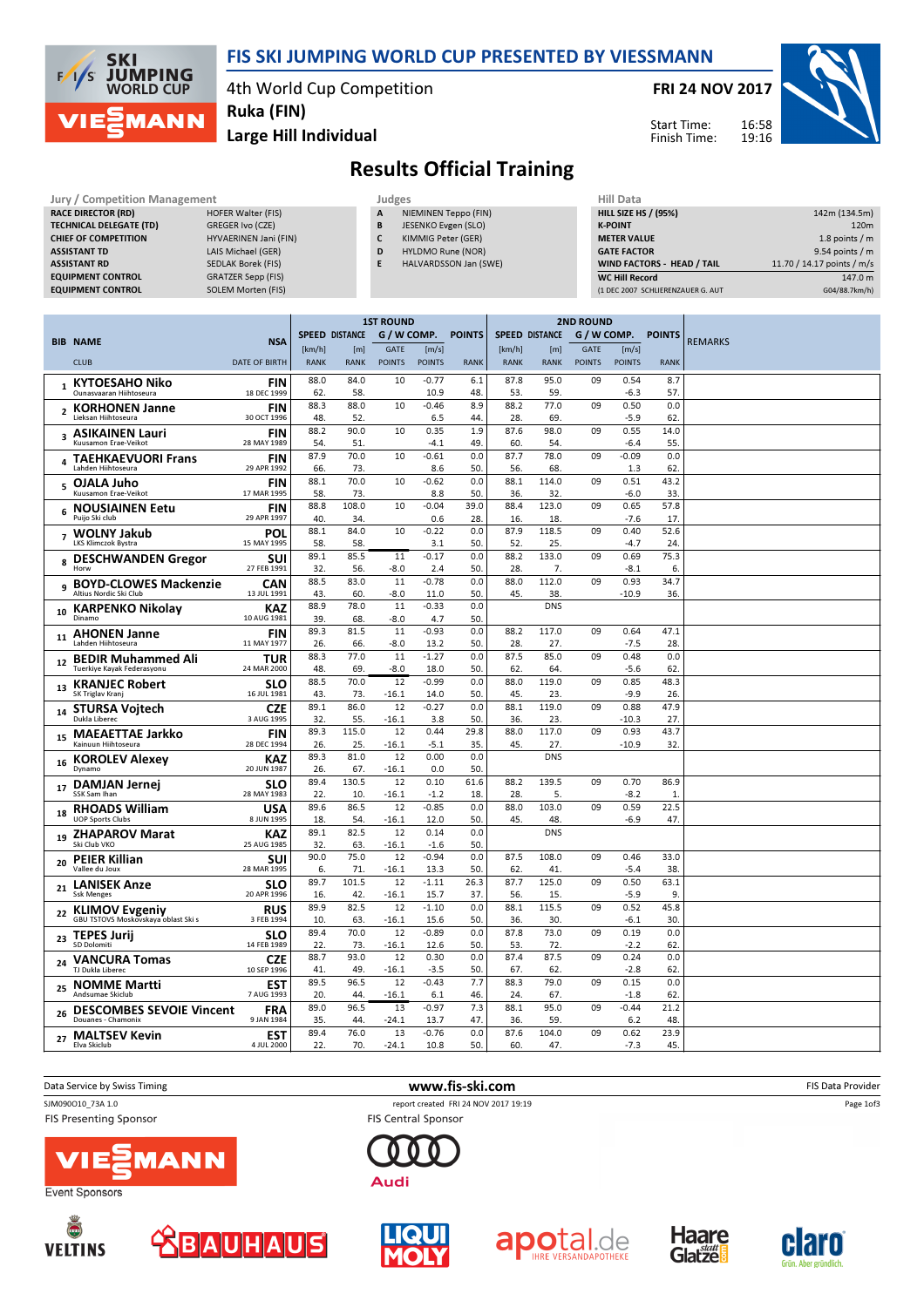

## FIS SKI JUMPING WORLD CUP PRESENTED BY VIESSMANN

4th World Cup Competition Ruka (FIN)

FRI 24 NOV 2017

Start Time: Finish Time:



Large Hill Individual

## Results Official Training

| Jury / Competition Management  |                           |   | Judges                       |  |                    |  |  |  |
|--------------------------------|---------------------------|---|------------------------------|--|--------------------|--|--|--|
| <b>RACE DIRECTOR (RD)</b>      | <b>HOFER Walter (FIS)</b> | A | NIEMINEN Teppo (FIN)         |  | <b>HILL SIZE H</b> |  |  |  |
| <b>TECHNICAL DELEGATE (TD)</b> | GREGER Ivo (CZE)          | B | JESENKO Evgen (SLO)          |  | <b>K-POINT</b>     |  |  |  |
| <b>CHIEF OF COMPETITION</b>    | HYVAERINEN Jani (FIN)     | C | KIMMIG Peter (GER)           |  | <b>METER VAI</b>   |  |  |  |
| <b>ASSISTANT TD</b>            | LAIS Michael (GER)        | D | HYLDMO Rune (NOR)            |  | <b>GATE FACT</b>   |  |  |  |
| <b>ASSISTANT RD</b>            | SEDLAK Borek (FIS)        | E | <b>HALVARDSSON Jan (SWE)</b> |  | <b>WIND FACT</b>   |  |  |  |
| <b>EQUIPMENT CONTROL</b>       | <b>GRATZER Sepp (FIS)</b> |   |                              |  | WC Hill Re         |  |  |  |
| <b>EQUIPMENT CONTROL</b>       | <b>SOLEM Morten (FIS)</b> |   |                              |  | (1 DEC 2007        |  |  |  |
|                                |                           |   |                              |  |                    |  |  |  |
|                                |                           |   |                              |  |                    |  |  |  |

| HIII Data                         |                            |
|-----------------------------------|----------------------------|
| <b>HILL SIZE HS / (95%)</b>       | 142m (134.5m)              |
| <b>K-POINT</b>                    | 120 <sub>m</sub>           |
| <b>METER VALUE</b>                | 1.8 points $/m$            |
| <b>GATE FACTOR</b>                | 9.54 points / m            |
| WIND FACTORS - HEAD / TAIL        | 11.70 / 14.17 points / m/s |
| <b>WC Hill Record</b>             | 147.0 m                    |
| (1 DEC 2007 SCHLIERENZAUER G. AUT | G04/88.7km/h)              |

|                |                                                       |                           |                       | <b>2ND ROUND</b> |               |                   |               |                       |              |               |                   |               |                |
|----------------|-------------------------------------------------------|---------------------------|-----------------------|------------------|---------------|-------------------|---------------|-----------------------|--------------|---------------|-------------------|---------------|----------------|
|                | <b>BIB NAME</b>                                       | <b>NSA</b>                | <b>SPEED DISTANCE</b> |                  | G / W COMP.   |                   | <b>POINTS</b> | <b>SPEED DISTANCE</b> |              | G / W COMP.   |                   | <b>POINTS</b> |                |
|                |                                                       |                           | [km/h]                | [m]              | <b>GATE</b>   | [m/s]             |               | [km/h]                | [m]          | <b>GATE</b>   | [m/s]             |               | <b>REMARKS</b> |
|                | <b>CLUB</b>                                           | <b>DATE OF BIRTH</b>      | <b>RANK</b>           | <b>RANK</b>      | <b>POINTS</b> | <b>POINTS</b>     | <b>RANK</b>   | <b>RANK</b>           | <b>RANK</b>  | <b>POINTS</b> | <b>POINTS</b>     | <b>RANK</b>   |                |
|                | <b>KYTOESAHO Niko</b>                                 | <b>FIN</b>                | 88.0                  | 84.0             | 10            | $-0.77$           | 6.1           | 87.8                  | 95.0         | 09            | 0.54              | 8.7           |                |
|                | Ounasvaaran Hiihtoseura                               | 18 DEC 1999               | 62.                   | 58.              |               | 10.9              | 48.           | 53.                   | 59.          |               | $-6.3$            | 57            |                |
| $\overline{2}$ | <b>KORHONEN Janne</b><br>Lieksan Hiihtoseura          | FIN<br>30 OCT 1996        | 88.3                  | 88.0             | 10            | $-0.46$           | 8.9<br>44.    | 88.2                  | 77.0         | 09            | 0.50              | 0.0           |                |
|                |                                                       |                           | 48.<br>88.2           | 52.<br>90.0      | 10            | 6.5<br>0.35       | 1.9           | 28.<br>87.6           | 69.<br>98.0  | 09            | $-5.9$<br>0.55    | 62<br>14.0    |                |
| 3              | <b>ASIKAINEN Lauri</b><br>Kuusamon Erae-Veikot        | <b>FIN</b><br>28 MAY 1989 | 54.                   | 51.              |               | $-4.1$            | 49            | 60.                   | 54.          |               | $-6.4$            | 55.           |                |
| 4              | <b>TAEHKAEVUORI Frans</b>                             | FIN                       | 87.9                  | 70.0             | 10            | $-0.61$           | 0.0           | 87.7                  | 78.0         | 09            | $-0.09$           | 0.0           |                |
|                | Lahden Hiihtoseura                                    | 29 APR 1992               | 66.                   | 73.              |               | 8.6               | 50.           | 56.                   | 68.          |               | 1.3               | 62            |                |
| 5              | OJALA Juho<br>Kuusamon Erae-Veikot                    | <b>FIN</b><br>17 MAR 1995 | 88.1<br>58.           | 70.0<br>73.      | 10            | $-0.62$<br>8.8    | 0.0<br>50.    | 88.1<br>36.           | 114.0<br>32. | 09            | 0.51<br>$-6.0$    | 43.2<br>33    |                |
|                | <b>NOUSIAINEN Eetu</b>                                | <b>FIN</b>                | 88.8                  | 108.0            | 10            | $-0.04$           | 39.0          | 88.4                  | 123.0        | 09            | 0.65              | 57.8          |                |
| 6              | Puijo Ski club                                        | 29 APR 1997               | 40.                   | 34.              |               | 0.6               | 28.           | 16.                   | 18.          |               | $-7.6$            | 17            |                |
| $\overline{7}$ | <b>WOLNY Jakub</b>                                    | POL                       | 88.1                  | 84.0             | 10            | $-0.22$           | 0.0           | 87.9                  | 118.5        | 09            | 0.40              | 52.6          |                |
|                | <b>LKS Klimczok Bystra</b>                            | 15 MAY 1995               | 58.                   | 58.              |               | 3.1               | 50.           | 52.                   | 25.          |               | $-4.7$            | 24            |                |
| 8              | <b>DESCHWANDEN Gregor</b>                             | SUI<br>27 FEB 1991        | 89.1<br>32.           | 85.5<br>56.      | 11<br>$-8.0$  | $-0.17$<br>2.4    | 0.0<br>50.    | 88.2<br>28.           | 133.0<br>7.  | 09            | 0.69<br>$-8.1$    | 75.3<br>6.    |                |
|                | <b>BOYD-CLOWES Mackenzie</b>                          | <b>CAN</b>                | 88.5                  | 83.0             | 11            | $-0.78$           | 0.0           | 88.0                  | 112.0        | 09            | 0.93              | 34.7          |                |
| 9              | Altius Nordic Ski Club                                | 13 JUL 1991               | 43.                   | 60.              | $-8.0$        | 11.0              | 50.           | 45.                   | 38.          |               | $-10.9$           | 36            |                |
| 10             | <b>KARPENKO Nikolav</b>                               | KAZ                       | 88.9                  | 78.0             | 11            | $-0.33$           | 0.0           |                       | <b>DNS</b>   |               |                   |               |                |
|                | Dinamo                                                | 10 AUG 1981               | 39.                   | 68.              | $-8.0$        | 4.7               | 50.           |                       |              |               |                   |               |                |
| 11             | <b>AHONEN Janne</b><br>Lahden Hiihtoseura             | FIN<br>11 MAY 1977        | 89.3<br>26.           | 81.5<br>66.      | 11<br>$-8.0$  | $-0.93$<br>13.2   | 0.0<br>50.    | 88.2<br>28.           | 117.0<br>27. | 09            | 0.64<br>$-7.5$    | 47.1<br>28    |                |
|                | <b>BEDIR Muhammed Ali</b>                             | TUR                       | 88.3                  | 77.0             | 11            | $-1.27$           | 0.0           | 87.5                  | 85.0         | 09            | 0.48              | 0.0           |                |
| 12             | Tuerkiye Kayak Federasyonu                            | 24 MAR 2000               | 48.                   | 69.              | -8.0          | 18.0              | 50.           | 62                    | 64.          |               | $-5.6$            | 62            |                |
| 13             | <b>KRANJEC Robert</b>                                 | <b>SLO</b>                | 88.5                  | 70.0             | 12            | $-0.99$           | 0.0           | 88.0                  | 119.0        | 09            | 0.85              | 48.3          |                |
|                | SK Triglav Kranj                                      | 16 JUL 1981               | 43.                   | 73.              | $-16.1$       | 14.0              | 50.           | 45.                   | 23.          |               | $-9.9$            | 26            |                |
| 14             | <b>STURSA Voitech</b><br>Dukla Liberec                | <b>CZE</b><br>3 AUG 1995  | 89.1<br>32.           | 86.0<br>55.      | 12<br>-16.1   | $-0.27$<br>3.8    | 0.0<br>50.    | 88.1<br>36.           | 119.0<br>23. | 09            | 0.88<br>-10.3     | 47.9<br>27    |                |
|                | <b>MAEAETTAE Jarkko</b>                               | <b>FIN</b>                | 89.3                  | 115.0            | 12            | 0.44              | 29.8          | 88.0                  | 117.0        | 09            | 0.93              | 43.7          |                |
| 15             | Kainuun Hiihtoseura                                   | 28 DEC 1994               | 26.                   | 25.              | $-16.1$       | $-5.1$            | 35.           | 45.                   | 27.          |               | $-10.9$           | 32.           |                |
| 16             | <b>KOROLEV Alexey</b>                                 | KAZ                       | 89.3                  | 81.0             | 12            | 0.00              | 0.0           |                       | <b>DNS</b>   |               |                   |               |                |
|                | Dynamo                                                | 20 JUN 1987               | 26.                   | 67.<br>130.5     | $-16.1$<br>12 | 0.0               | 50.           |                       |              |               |                   |               |                |
| 17             | <b>DAMJAN Jernej</b><br>SSK Sam Ihan                  | <b>SLO</b><br>28 MAY 1983 | 89.4<br>22.           | 10.              | $-16.1$       | 0.10<br>$-1.2$    | 61.6<br>18.   | 88.2<br>28.           | 139.5<br>5.  | 09            | 0.70<br>$-8.2$    | 86.9<br>1.    |                |
|                | <b>RHOADS William</b>                                 | USA                       | 89.6                  | 86.5             | 12            | $-0.85$           | 0.0           | 88.0                  | 103.0        | 09            | 0.59              | 22.5          |                |
| 18             | <b>UOP Sports Clubs</b>                               | 8 JUN 1995                | 18.                   | 54.              | $-16.1$       | 12.0              | 50.           | 45.                   | 48.          |               | $-6.9$            | 47.           |                |
| 19             | <b>ZHAPAROV Marat</b>                                 | <b>KAZ</b>                | 89.1                  | 82.5             | 12            | 0.14              | 0.0           |                       | <b>DNS</b>   |               |                   |               |                |
|                | Ski Club VKO                                          | 25 AUG 1985               | 32.<br>90.0           | 63.<br>75.0      | $-16.1$<br>12 | $-1.6$<br>$-0.94$ | 50.<br>0.0    | 87.5                  | 108.0        | 09            | 0.46              | 33.0          |                |
| 20             | <b>PEIER Killian</b><br>Vallee du Joux                | <b>SUI</b><br>28 MAR 1995 | 6.                    | 71.              | $-16.1$       | 13.3              | 50.           | 62.                   | 41.          |               | $-5.4$            | 38            |                |
|                | <b>LANISEK Anze</b>                                   | SLO                       | 89.7                  | 101.5            | 12            | $-1.11$           | 26.3          | 87.7                  | 125.0        | 09            | 0.50              | 63.1          |                |
| 21             | <b>Ssk Menges</b>                                     | 20 APR 1996               | 16.                   | 42.              | $-16.1$       | 15.7              | 37.           | 56.                   | 15.          |               | $-5.9$            | 9.            |                |
| 22             | <b>KLIMOV Evgeniy</b>                                 | <b>RUS</b>                | 89.9                  | 82.5             | 12            | $-1.10$           | 0.0           | 88.1                  | 115.5        | 09            | 0.52              | 45.8          |                |
|                | GBU TSTOVS Moskovskaya oblast Ski s                   | 3 FEB 1994                | 10.<br>89.4           | 63.<br>70.0      | $-16.1$<br>12 | 15.6<br>$-0.89$   | 50.<br>0.0    | 36.<br>87.8           | 30.<br>73.0  | 09            | $-6.1$<br>0.19    | 30.<br>0.0    |                |
| 23             | <b>TEPES Jurij</b><br>SD Dolomiti                     | <b>SLO</b><br>14 FEB 1989 | 22.                   | 73.              | $-16.1$       | 12.6              | 50.           | 53.                   | 72.          |               | $-2.2$            | 62            |                |
|                | <b>VANCURA Tomas</b>                                  | <b>CZE</b>                | 88.7                  | 93.0             | 12            | 0.30              | 0.0           | 87.4                  | 87.5         | 09            | 0.24              | 0.0           |                |
| 24             | TJ Dukla Liberec                                      | 10 SEP 1996               | 41.                   | 49.              | $-16.1$       | $-3.5$            | 50.           | 67.                   | 62.          |               | $-2.8$            | 62.           |                |
| 25             | <b>NOMME Martti</b>                                   | <b>EST</b>                | 89.5                  | 96.5             | 12            | $-0.43$           | 7.7           | 88.3                  | 79.0         | 09            | 0.15              | 0.0           |                |
|                | Andsumae Skiclub                                      | 7 AUG 1993                | 20.<br>89.0           | 44.<br>96.5      | $-16.1$<br>13 | 6.1<br>$-0.97$    | 46.<br>7.3    | 24.<br>88.1           | 67.<br>95.0  | 09            | $-1.8$<br>$-0.44$ | 62.<br>21.2   |                |
| 26             | <b>DESCOMBES SEVOIE Vincent</b><br>Douanes - Chamonix | <b>FRA</b><br>9 JAN 1984  | 35.                   | 44.              | $-24.1$       | 13.7              | 47.           | 36.                   | 59.          |               | 6.2               | 48            |                |
| 27             | <b>MALTSEV Kevin</b>                                  | <b>EST</b>                | 89.4                  | 76.0             | 13            | $-0.76$           | 0.0           | 87.6                  | 104.0        | 09            | 0.62              | 23.9          |                |
|                | Elva Skiclub                                          | 4 JUL 2000                | 22.                   | 70.              | $-24.1$       | 10.8              | 50.           | 60.                   | 47.          |               | $-7.3$            | 45.           |                |
|                |                                                       |                           |                       |                  |               |                   |               |                       |              |               |                   |               |                |

Data Service by Swiss Timing **EXECUTE:** The Same of the WWW.fis-ski.com **EXECUTE:** FIS Data Provider SJM090O10\_73A 1.0 report created FRI 24 NOV 2017 19:19

**FIS Presenting Sponsor** 









**FIS Central Sponsor** 

**Audi** 







Page 1of3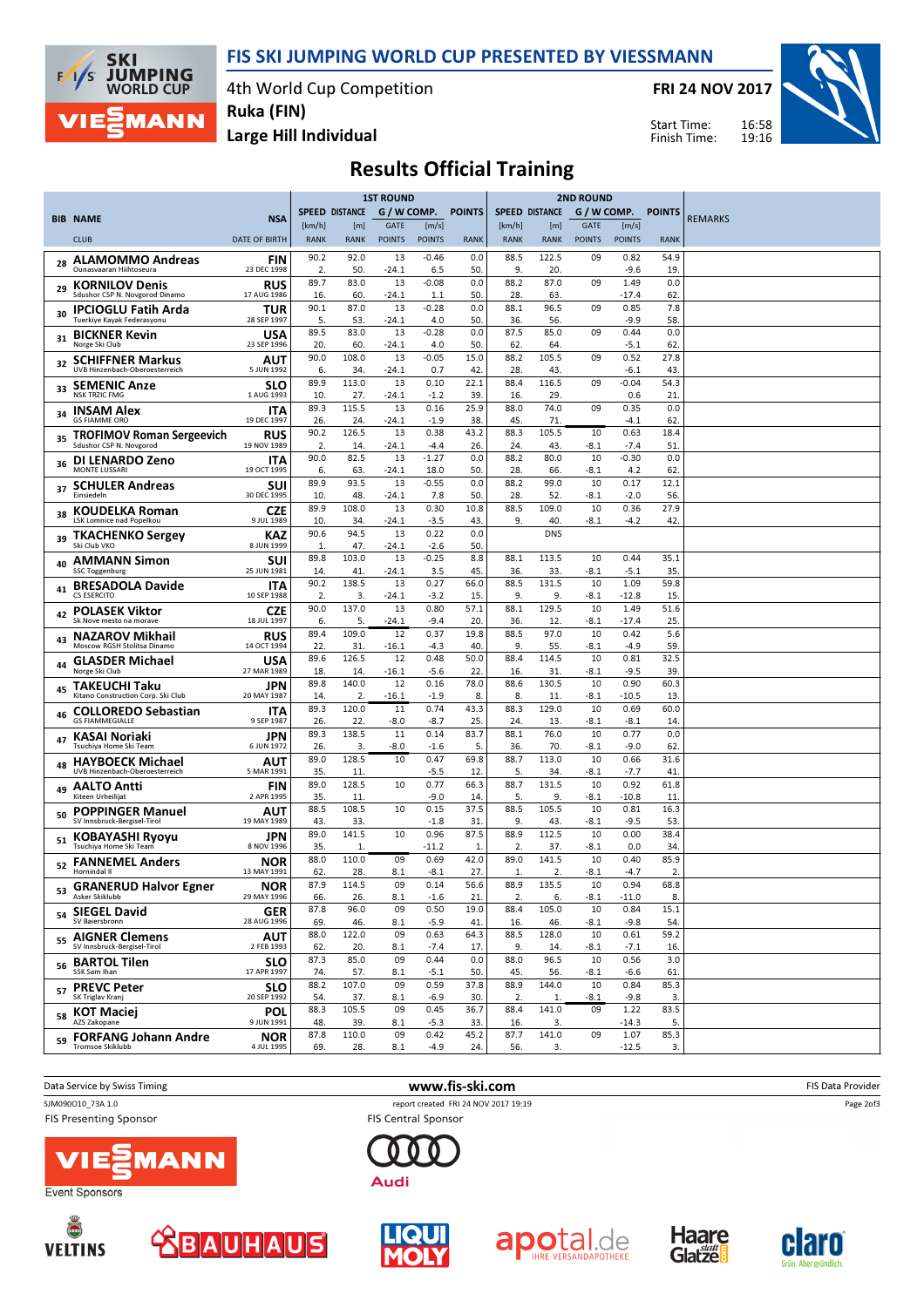

4th World Cup Competition Ruka (FIN)

FRI 24 NOV 2017

Start Time: Finish Time:



Large Hill Individual

**SKI** 

 $F/1/s$ 

**JUMPING**<br>WORLD CUP

**MANN** 

Results Official Training

|    |                                                           |                           |                       |              | <b>1ST ROUND</b> |                   |               | <b>2ND ROUND</b>      |              |               |                   |               |                |
|----|-----------------------------------------------------------|---------------------------|-----------------------|--------------|------------------|-------------------|---------------|-----------------------|--------------|---------------|-------------------|---------------|----------------|
|    | <b>BIB NAME</b>                                           | <b>NSA</b>                | <b>SPEED DISTANCE</b> |              | G / W COMP.      |                   | <b>POINTS</b> | <b>SPEED DISTANCE</b> |              | G / W COMP.   |                   | <b>POINTS</b> | <b>REMARKS</b> |
|    |                                                           |                           | [km/h]                | [m]          | <b>GATE</b>      | [m/s]             |               | [km/h]                | [m]          | <b>GATE</b>   | [m/s]             |               |                |
|    | <b>CLUB</b>                                               | <b>DATE OF BIRTH</b>      | <b>RANK</b>           | <b>RANK</b>  | <b>POINTS</b>    | <b>POINTS</b>     | <b>RANK</b>   | <b>RANK</b>           | <b>RANK</b>  | <b>POINTS</b> | <b>POINTS</b>     | <b>RANK</b>   |                |
| 28 | <b>ALAMOMMO Andreas</b><br>Ounasvaaran Hiihtoseura        | FIN<br>23 DEC 1998        | 90.2<br>2.            | 92.0<br>50.  | 13<br>$-24.1$    | $-0.46$<br>6.5    | 0.0<br>50     | 88.5<br>9.            | 122.5<br>20. | 09            | 0.82<br>$-9.6$    | 54.9<br>19    |                |
| 29 | <b>KORNILOV Denis</b><br>Sdushor CSP N. Novgorod Dinamo   | <b>RUS</b><br>17 AUG 1986 | 89.7<br>16.           | 83.0<br>60.  | 13<br>-24.1      | $-0.08$<br>1.1    | 0.0<br>50     | 88.2<br>28.           | 87.0<br>63.  | 09            | 1.49<br>$-17.4$   | 0.0<br>62     |                |
| 30 | <b>IPCIOGLU Fatih Arda</b>                                | TUR                       | 90.1                  | 87.0         | 13               | $-0.28$           | 0.0           | 88.1                  | 96.5         | 09            | 0.85              | 7.8           |                |
| 31 | Tuerkiye Kayak Federasyonu<br><b>BICKNER Kevin</b>        | 28 SEP 1997<br>USA        | 5.<br>89.5            | 53.<br>83.0  | $-24.1$<br>13    | 4.0<br>$-0.28$    | 50<br>0.0     | 36.<br>87.5           | 56.<br>85.0  | 09            | -9.9<br>0.44      | 58.<br>0.0    |                |
|    | Norge Ski Club                                            | 23 SEP 1996               | 20.<br>90.0           | 60.<br>108.0 | $-24.1$<br>13    | 4.0<br>$-0.05$    | 50<br>15.0    | 62.<br>88.2           | 64.<br>105.5 | 09            | $-5.1$<br>0.52    | 62<br>27.8    |                |
| 32 | <b>SCHIFFNER Markus</b><br>UVB Hinzenbach-Oberoesterreich | AUT<br>5 JUN 1992         | 6.                    | 34.          | $-24.1$          | 0.7               | 42            | 28.                   | 43.          |               | $-6.1$            | 43.           |                |
| 33 | <b>SEMENIC Anze</b><br><b>NSK TRZIC FMG</b>               | SLO<br>1 AUG 1993         | 89.9<br>10.           | 113.0<br>27. | 13<br>-24.1      | 0.10<br>$-1.2$    | 22.1<br>39    | 88.4<br>16.           | 116.5<br>29. | 09            | $-0.04$<br>0.6    | 54.3<br>21    |                |
| 34 | <b>INSAM Alex</b><br><b>GS FIAMME ORO</b>                 | <b>ITA</b><br>19 DEC 1997 | 89.3<br>26.           | 115.5<br>24. | 13<br>$-24.1$    | 0.16<br>$-1.9$    | 25.9<br>38    | 88.0<br>45.           | 74.0<br>71.  | 09            | 0.35<br>-4.1      | 0.0<br>62     |                |
| 35 | <b>TROFIMOV Roman Sergeevich</b>                          | <b>RUS</b>                | 90.2                  | 126.5        | 13               | 0.38              | 43.2          | 88.3                  | 105.5        | 10            | 0.63              | 18.4          |                |
|    | Sdushor CSP N. Novgorod                                   | 19 NOV 1989               | 2.<br>90.0            | 14.<br>82.5  | $-24.1$<br>13    | $-4.4$<br>$-1.27$ | 26<br>0.0     | 24.<br>88.2           | 43.<br>80.0  | $-8.1$<br>10  | $-7.4$<br>$-0.30$ | 51<br>0.0     |                |
| 36 | DI LENARDO Zeno<br>MONTE LUSSARI                          | ITA<br>19 OCT 1995        | 6.                    | 63.          | $-24.1$          | 18.0              | 50            | 28.                   | 66.          | $-8.1$        | 4.2               | 62.           |                |
| 37 | <b>SCHULER Andreas</b><br>Einsiedeln                      | SUI<br>30 DEC 1995        | 89.9<br>10.           | 93.5<br>48.  | 13<br>$-24.1$    | $-0.55$<br>7.8    | 0.0<br>50     | 88.2<br>28.           | 99.0<br>52.  | 10<br>-8.1    | 0.17<br>$-2.0$    | 12.1<br>56.   |                |
| 38 | <b>KOUDELKA Roman</b><br>LSK Lomnice nad Popelkou         | <b>CZE</b><br>9 JUL 1989  | 89.9<br>10.           | 108.0<br>34. | 13<br>-24.1      | 0.30<br>$-3.5$    | 10.8<br>43    | 88.5<br>9.            | 109.0<br>40. | 10<br>-8.1    | 0.36<br>$-4.2$    | 27.9<br>42.   |                |
| 39 | <b>TKACHENKO Sergey</b><br>Ski Club VKO                   | KAZ                       | 90.6                  | 94.5         | 13               | 0.22              | 0.0           |                       | <b>DNS</b>   |               |                   |               |                |
| 40 | <b>AMMANN Simon</b>                                       | 8 JUN 1999<br>SUI         | 1.<br>89.8            | 47.<br>103.0 | $-24.1$<br>13    | $-2.6$<br>$-0.25$ | 50<br>8.8     | 88.1                  | 113.5        | 10            | 0.44              | 35.1          |                |
|    | <b>SSC Toggenburg</b><br><b>BRESADOLA Davide</b>          | 25 JUN 1981<br>ITA        | 14.<br>90.2           | 41.<br>138.5 | $-24.1$<br>13    | 3.5<br>0.27       | 45<br>66.0    | 36.<br>88.5           | 33.<br>131.5 | $-8.1$<br>10  | $-5.1$<br>1.09    | 35.<br>59.8   |                |
| 41 | <b>CS ESERCITO</b>                                        | 10 SEP 1988               | 2.                    | 3.           | $-24.1$          | $-3.2$            | 15            | 9.                    | 9.           | -8.1          | $-12.8$           | 15            |                |
| 42 | <b>POLASEK Viktor</b><br>Sk Nove mesto na morave          | <b>CZE</b><br>18 JUL 1997 | 90.0<br>6.            | 137.0<br>5.  | 13<br>-24.1      | 0.80<br>$-9.4$    | 57.1<br>20    | 88.1<br>36.           | 129.5<br>12. | 10<br>-8.1    | 1.49<br>$-17.4$   | 51.6<br>25.   |                |
| 43 | <b>NAZAROV Mikhail</b><br>Moscow RGSH Stolitsa Dinamo     | <b>RUS</b><br>14 OCT 1994 | 89.4<br>22.           | 109.0<br>31  | 12<br>$-16.1$    | 0.37<br>$-4.3$    | 19.8<br>40    | 88.5<br>9.            | 97.0<br>55.  | 10<br>$-8.1$  | 0.42<br>$-4.9$    | 5.6<br>59.    |                |
| 44 | <b>GLASDER Michael</b>                                    | USA                       | 89.6                  | 126.5        | 12               | 0.48              | 50.0          | 88.4                  | 114.5        | 10            | 0.81              | 32.5          |                |
|    | Norge Ski Club<br><b>TAKEUCHI Taku</b>                    | 27 MAR 1989<br>JPN        | 18.<br>89.8           | 14.<br>140.0 | $-16.1$<br>12    | $-5.6$<br>0.16    | 22<br>78.0    | 16.<br>88.6           | 31.<br>130.5 | $-8.1$<br>10  | $-9.5$<br>0.90    | 39<br>60.3    |                |
| 45 | Kitano Construction Corp. Ski Club                        | 20 MAY 1987               | 14.                   | 2.           | -16.1            | $-1.9$            | 8.            | 8.                    | 11.          | -8.1          | $-10.5$           | 13.           |                |
| 46 | <b>COLLOREDO Sebastian</b><br><b>GS FIAMMEGIALLE</b>      | <b>ITA</b><br>9 SEP 1987  | 89.3<br>26.           | 120.0<br>22. | 11<br>$-8.0$     | 0.74<br>$-8.7$    | 43.3<br>25    | 88.3<br>24.           | 129.0<br>13. | 10<br>$-8.1$  | 0.69<br>$-8.1$    | 60.0<br>14    |                |
| 47 | KASAI Noriaki<br>Tsuchiya Home Ski Team                   | JPN<br>6 JUN 1972         | 89.3<br>26.           | 138.5<br>3.  | 11<br>-8.0       | 0.14<br>$-1.6$    | 83.7<br>5.    | 88.1<br>36.           | 76.0<br>70.  | 10<br>$-8.1$  | 0.77<br>$-9.0$    | 0.0<br>62     |                |
| 48 | <b>HAYBOECK Michael</b><br>UVB Hinzenbach-Oberoesterreich | AUT<br>5 MAR 1991         | 89.0<br>35.           | 128.5<br>11  | 10               | 0.47<br>$-5.5$    | 69.8<br>12    | 88.7<br>5.            | 113.0<br>34. | 10<br>-8.1    | 0.66<br>$-7.7$    | 31.6<br>41    |                |
| 49 | <b>AALTO Antti</b>                                        | FIN                       | 89.0                  | 128.5        | 10               | 0.77              | 66.3          | 88.7                  | 131.5        | 10            | 0.92              | 61.8          |                |
| 50 | Kiteen Urheilijat<br><b>POPPINGER Manuel</b>              | 2 APR 1995<br>AUT         | 35.<br>88.5           | 11.<br>108.5 | 10               | $-9.0$<br>0.15    | 14<br>37.5    | 5.<br>88.5            | 9.<br>105.5  | $-8.1$<br>10  | $-10.8$<br>0.81   | 11<br>16.3    |                |
|    | SV Innsbruck-Bergisel-Tirol<br><b>KOBAYASHI Ryoyu</b>     | 19 MAY 1989<br>JPN        | 43.<br>89.0           | 33.<br>141.5 | 10               | $-1.8$<br>0.96    | 31<br>87.5    | 9.<br>88.9            | 43.<br>112.5 | -8.1<br>10    | -9.5<br>0.00      | 53.<br>38.4   |                |
| 51 | Tsuchiya Home Ski Team                                    | 8 NOV 1996                | 35.                   | $\mathbf{1}$ |                  | -11.2             | 1             | 2.                    | 37.          | -8.1          | 0.0               | 34            |                |
|    | <sub>52</sub> FANNEMEL Anders<br>Hornindal II             | <b>NOR</b><br>13 MAY 1991 | 88.0<br>62.           | 110.0<br>28. | 09<br>8.1        | 0.69<br>$-8.1$    | 42.0<br>27.   | 89.0<br>1.            | 141.5<br>2.  | 10<br>$-8.1$  | 0.40<br>$-4.7$    | 85.9<br>2.    |                |
| 53 | <b>GRANERUD Halvor Egner</b><br>Asker Skiklubb            | <b>NOR</b><br>29 MAY 1996 | 87.9<br>66.           | 114.5<br>26. | 09<br>8.1        | 0.14<br>$-1.6$    | 56.6<br>21    | 88.9<br>2.            | 135.5<br>6.  | 10<br>$-8.1$  | 0.94<br>$-11.0$   | 68.8<br>8.    |                |
|    | 54 SIEGEL David<br>SV Baiersbronn                         | <b>GER</b><br>28 AUG 1996 | 87.8<br>69.           | 96.0<br>46.  | 09<br>8.1        | 0.50<br>$-5.9$    | 19.0<br>41    | 88.4<br>16.           | 105.0<br>46. | 10<br>$-8.1$  | 0.84<br>$-9.8$    | 15.1<br>54.   |                |
| 55 | <b>AIGNER Clemens</b>                                     | AUT                       | 88.0                  | 122.0        | 09               | 0.63              | 64.3          | 88.5                  | 128.0        | 10            | 0.61              | 59.2          |                |
| 56 | SV Innsbruck-Bergisel-Tirol<br><b>BARTOL Tilen</b>        | 2 FEB 1993<br><b>SLO</b>  | 62.<br>87.3           | 20.<br>85.0  | 8.1<br>09        | $-7.4$<br>0.44    | 17<br>0.0     | 9.<br>88.0            | 14.<br>96.5  | -8.1<br>10    | $-7.1$<br>0.56    | 16.<br>3.0    |                |
|    | SSK Sam Ihan                                              | 17 APR 1997               | 74.<br>88.2           | 57.<br>107.0 | 8.1<br>09        | $-5.1$<br>0.59    | 50.<br>37.8   | 45.<br>88.9           | 56.<br>144.0 | $-8.1$<br>10  | $-6.6$<br>0.84    | 61.<br>85.3   |                |
| 57 | <b>PREVC Peter</b><br>SK Triglav Kranj                    | <b>SLO</b><br>20 SEP 1992 | 54.                   | 37.          | 8.1              | $-6.9$            | 30            | 2.                    | 1.           | $-8.1$        | $-9.8$            | 3.            |                |
| 58 | KOT Maciej<br>AZS Zakopane                                | <b>POL</b><br>9 JUN 1991  | 88.3<br>48.           | 105.5<br>39. | 09<br>8.1        | 0.45<br>$-5.3$    | 36.7<br>33    | 88.4<br>16.           | 141.0<br>3.  | 09            | 1.22<br>$-14.3$   | 83.5<br>5.    |                |
| 59 | <b>FORFANG Johann Andre</b>                               | <b>NOR</b>                | 87.8                  | 110.0        | 09               | 0.42              | 45.2          | 87.7                  | 141.0        | 09            | 1.07              | 85.3          |                |
|    | <b>Tromsoe Skiklubb</b>                                   | 4 JUL 1995                | 69.                   | 28.          | 8.1              | $-4.9$            | 24.           | 56.                   | 3.           |               | $-12.5$           | 3.            |                |

Data Service by Swiss Timing **EXECUTE:** The Same of the WWW.fis-ski.com **EXECUTE:** FIS Data Provider SJM090O10\_73A 1.0 report created FRI 24 NOV 2017 19:19 **FIS Presenting Sponsor** 

Event Sponsors

Ō

**VELTINS** 

**FIS Central Sponsor** 















Page 2of3